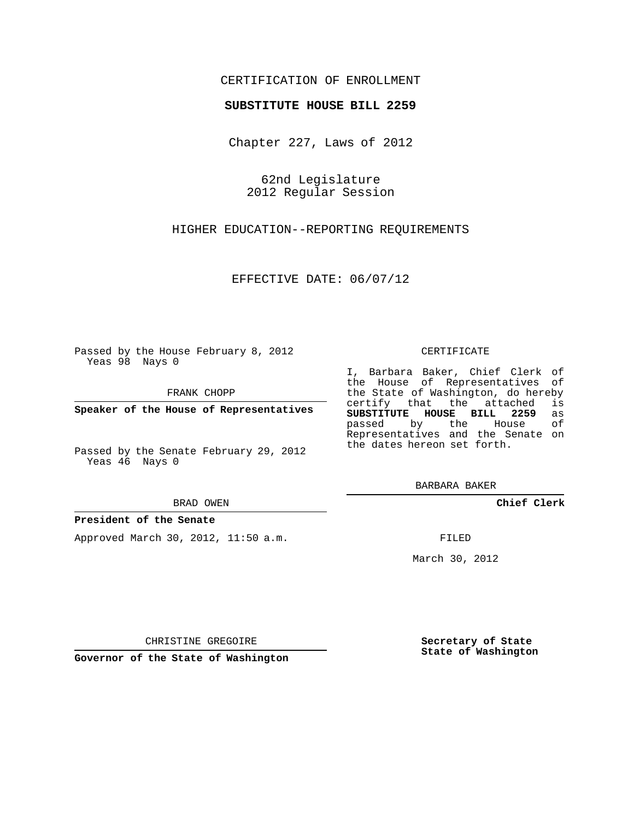## CERTIFICATION OF ENROLLMENT

### **SUBSTITUTE HOUSE BILL 2259**

Chapter 227, Laws of 2012

62nd Legislature 2012 Regular Session

HIGHER EDUCATION--REPORTING REQUIREMENTS

EFFECTIVE DATE: 06/07/12

Passed by the House February 8, 2012 Yeas 98 Nays 0

FRANK CHOPP

**Speaker of the House of Representatives**

Passed by the Senate February 29, 2012 Yeas 46 Nays 0

#### BRAD OWEN

### **President of the Senate**

Approved March 30, 2012, 11:50 a.m.

#### CERTIFICATE

I, Barbara Baker, Chief Clerk of the House of Representatives of the State of Washington, do hereby<br>certify that the attached is certify that the attached **SUBSTITUTE HOUSE BILL 2259** as passed by the House of Representatives and the Senate on the dates hereon set forth.

BARBARA BAKER

**Chief Clerk**

FILED

March 30, 2012

**Secretary of State State of Washington**

CHRISTINE GREGOIRE

**Governor of the State of Washington**